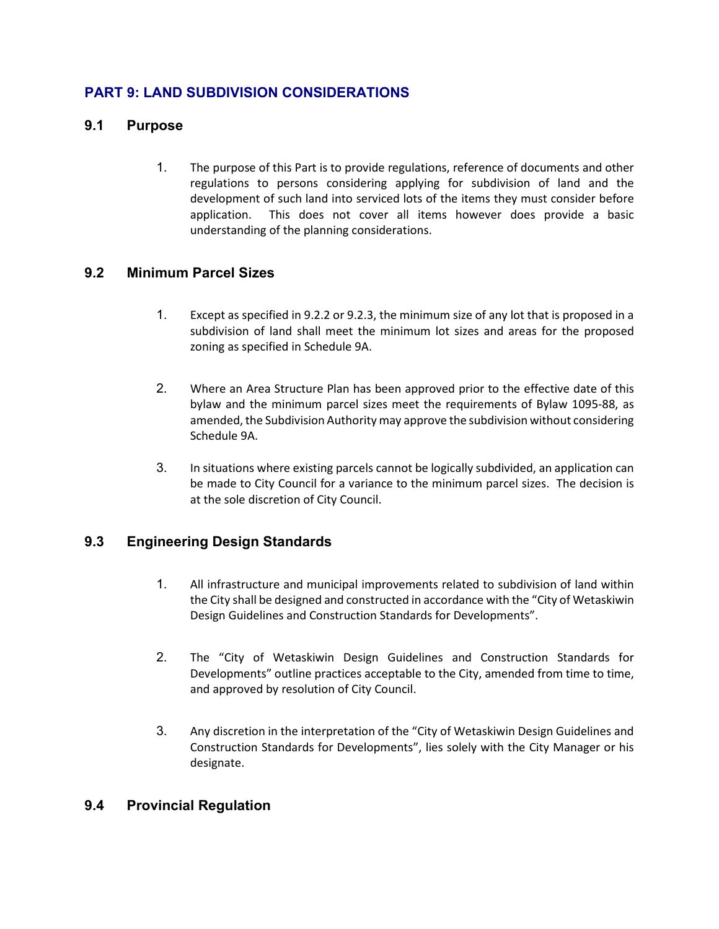# **PART 9: LAND SUBDIVISION CONSIDERATIONS**

#### **9.1 Purpose**

1. The purpose of this Part is to provide regulations, reference of documents and other regulations to persons considering applying for subdivision of land and the development of such land into serviced lots of the items they must consider before application. This does not cover all items however does provide a basic understanding of the planning considerations.

#### **9.2 Minimum Parcel Sizes**

- 1. Except as specified in 9.2.2 or 9.2.3, the minimum size of any lot that is proposed in a subdivision of land shall meet the minimum lot sizes and areas for the proposed zoning as specified in Schedule 9A.
- 2. Where an Area Structure Plan has been approved prior to the effective date of this bylaw and the minimum parcel sizes meet the requirements of Bylaw 1095-88, as amended, the Subdivision Authority may approve the subdivision without considering Schedule 9A.
- 3. In situations where existing parcels cannot be logically subdivided, an application can be made to City Council for a variance to the minimum parcel sizes. The decision is at the sole discretion of City Council.

# **9.3 Engineering Design Standards**

- 1. All infrastructure and municipal improvements related to subdivision of land within the City shall be designed and constructed in accordance with the "City of Wetaskiwin Design Guidelines and Construction Standards for Developments".
- 2. The "City of Wetaskiwin Design Guidelines and Construction Standards for Developments" outline practices acceptable to the City, amended from time to time, and approved by resolution of City Council.
- 3. Any discretion in the interpretation of the "City of Wetaskiwin Design Guidelines and Construction Standards for Developments", lies solely with the City Manager or his designate.

# **9.4 Provincial Regulation**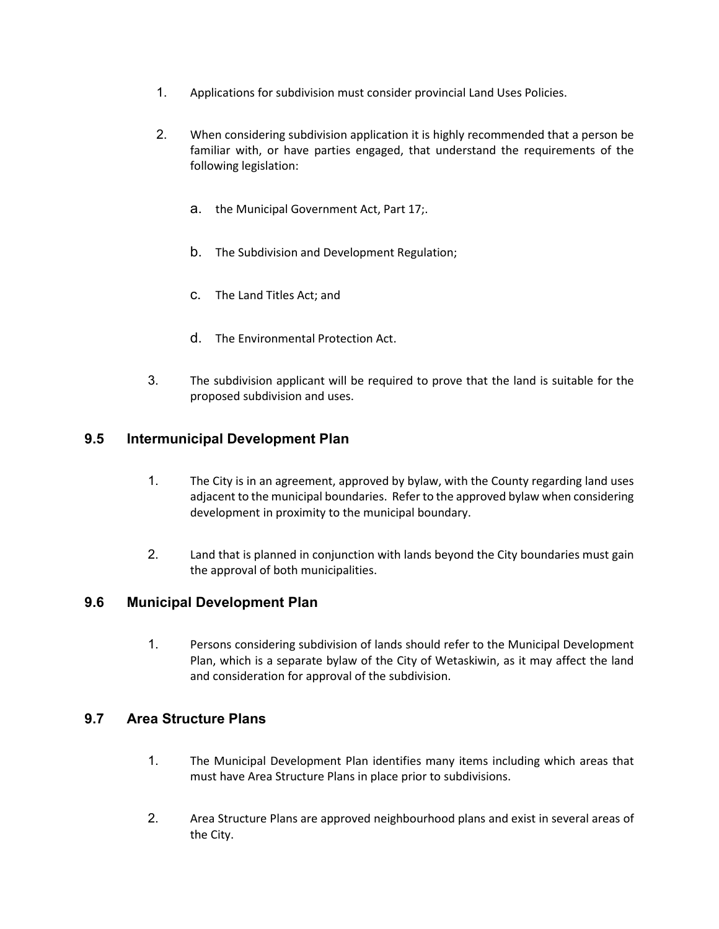- 1. Applications for subdivision must consider provincial Land Uses Policies.
- 2. When considering subdivision application it is highly recommended that a person be familiar with, or have parties engaged, that understand the requirements of the following legislation:
	- a. the Municipal Government Act, Part 17;.
	- b. The Subdivision and Development Regulation;
	- c. The Land Titles Act; and
	- d. The Environmental Protection Act.
- 3. The subdivision applicant will be required to prove that the land is suitable for the proposed subdivision and uses.

# **9.5 Intermunicipal Development Plan**

- 1. The City is in an agreement, approved by bylaw, with the County regarding land uses adjacent to the municipal boundaries. Refer to the approved bylaw when considering development in proximity to the municipal boundary.
- 2. Land that is planned in conjunction with lands beyond the City boundaries must gain the approval of both municipalities.

# **9.6 Municipal Development Plan**

1. Persons considering subdivision of lands should refer to the Municipal Development Plan, which is a separate bylaw of the City of Wetaskiwin, as it may affect the land and consideration for approval of the subdivision.

# **9.7 Area Structure Plans**

- 1. The Municipal Development Plan identifies many items including which areas that must have Area Structure Plans in place prior to subdivisions.
- 2. Area Structure Plans are approved neighbourhood plans and exist in several areas of the City.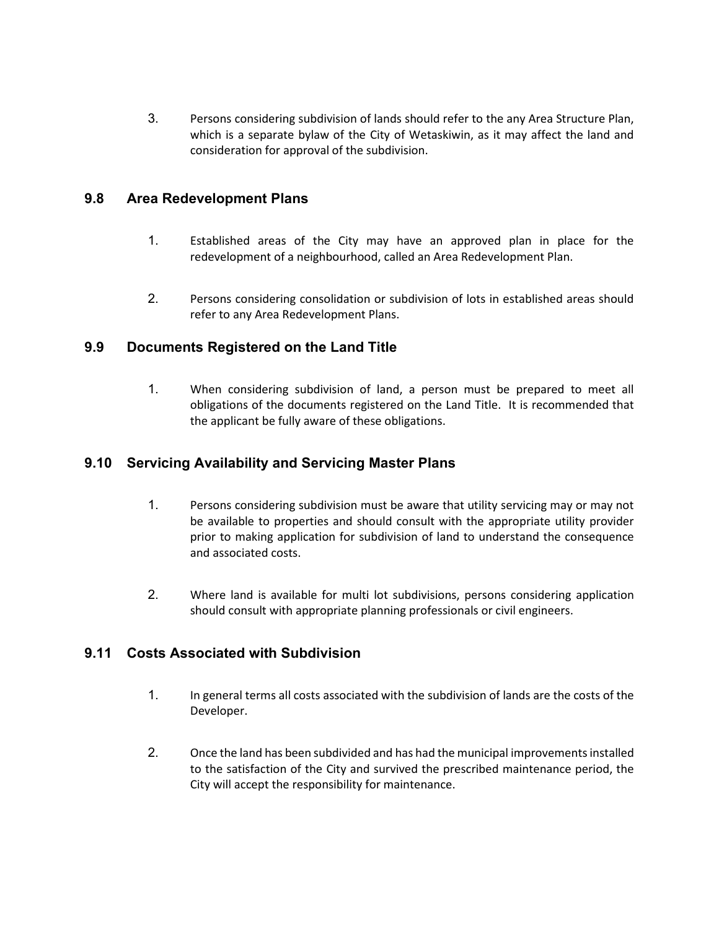3. Persons considering subdivision of lands should refer to the any Area Structure Plan, which is a separate bylaw of the City of Wetaskiwin, as it may affect the land and consideration for approval of the subdivision.

#### **9.8 Area Redevelopment Plans**

- 1. Established areas of the City may have an approved plan in place for the redevelopment of a neighbourhood, called an Area Redevelopment Plan.
- 2. Persons considering consolidation or subdivision of lots in established areas should refer to any Area Redevelopment Plans.

#### **9.9 Documents Registered on the Land Title**

1. When considering subdivision of land, a person must be prepared to meet all obligations of the documents registered on the Land Title. It is recommended that the applicant be fully aware of these obligations.

#### **9.10 Servicing Availability and Servicing Master Plans**

- 1. Persons considering subdivision must be aware that utility servicing may or may not be available to properties and should consult with the appropriate utility provider prior to making application for subdivision of land to understand the consequence and associated costs.
- 2. Where land is available for multi lot subdivisions, persons considering application should consult with appropriate planning professionals or civil engineers.

# **9.11 Costs Associated with Subdivision**

- 1. In general terms all costs associated with the subdivision of lands are the costs of the Developer.
- 2. Once the land has been subdivided and has had the municipal improvements installed to the satisfaction of the City and survived the prescribed maintenance period, the City will accept the responsibility for maintenance.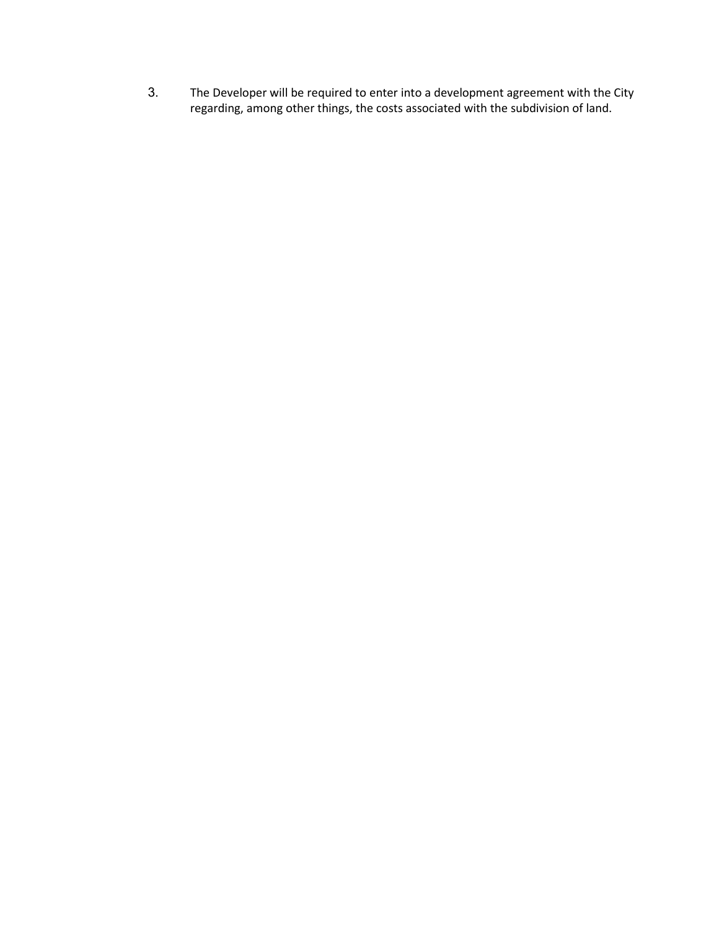3. The Developer will be required to enter into a development agreement with the City regarding, among other things, the costs associated with the subdivision of land.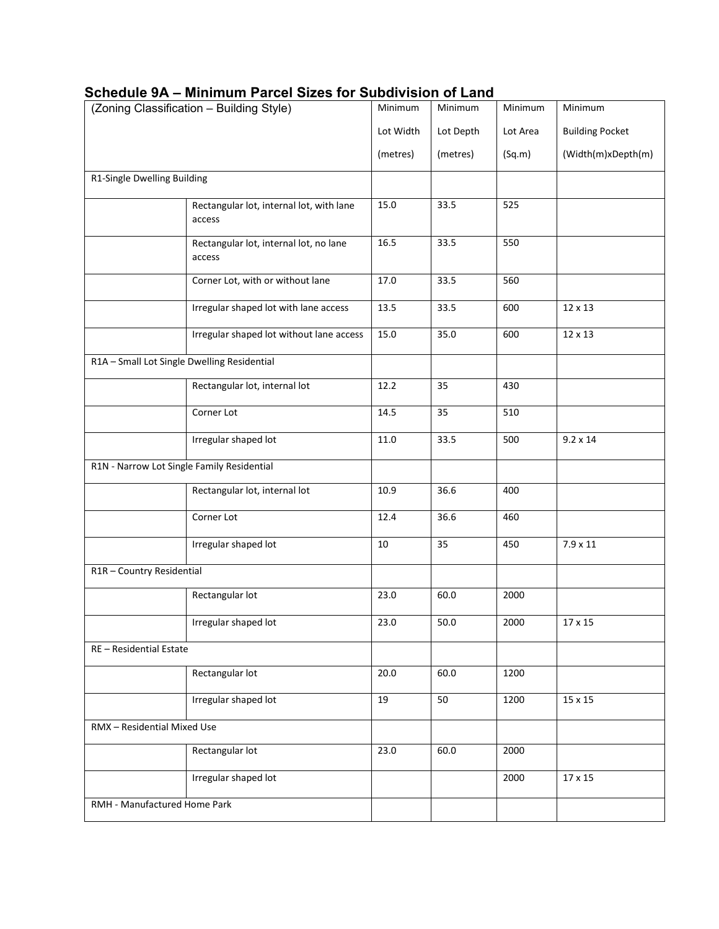| (Zoning Classification - Building Style)    |                                                    | Minimum   | Minimum   | Minimum  | Minimum                |
|---------------------------------------------|----------------------------------------------------|-----------|-----------|----------|------------------------|
|                                             |                                                    | Lot Width | Lot Depth | Lot Area | <b>Building Pocket</b> |
|                                             |                                                    | (metres)  | (metres)  | (Sq.m)   | (Width(m)xDepth(m)     |
| R1-Single Dwelling Building                 |                                                    |           |           |          |                        |
|                                             | Rectangular lot, internal lot, with lane<br>access | 15.0      | 33.5      | 525      |                        |
|                                             | Rectangular lot, internal lot, no lane<br>access   | 16.5      | 33.5      | 550      |                        |
|                                             | Corner Lot, with or without lane                   | 17.0      | 33.5      | 560      |                        |
|                                             | Irregular shaped lot with lane access              | 13.5      | 33.5      | 600      | 12 x 13                |
|                                             | Irregular shaped lot without lane access           | 15.0      | 35.0      | 600      | 12 x 13                |
| R1A - Small Lot Single Dwelling Residential |                                                    |           |           |          |                        |
|                                             | Rectangular lot, internal lot                      | 12.2      | 35        | 430      |                        |
|                                             | Corner Lot                                         | 14.5      | 35        | 510      |                        |
|                                             | Irregular shaped lot                               | 11.0      | 33.5      | 500      | $9.2 \times 14$        |
| R1N - Narrow Lot Single Family Residential  |                                                    |           |           |          |                        |
|                                             | Rectangular lot, internal lot                      | 10.9      | 36.6      | 400      |                        |
|                                             | Corner Lot                                         | 12.4      | 36.6      | 460      |                        |
|                                             | Irregular shaped lot                               | 10        | 35        | 450      | $7.9 \times 11$        |
| R1R - Country Residential                   |                                                    |           |           |          |                        |
|                                             | Rectangular lot                                    | 23.0      | 60.0      | 2000     |                        |
|                                             | Irregular shaped lot                               | 23.0      | 50.0      | 2000     | 17 x 15                |
| RE - Residential Estate                     |                                                    |           |           |          |                        |
|                                             | Rectangular lot                                    | 20.0      | 60.0      | 1200     |                        |
|                                             | Irregular shaped lot                               | 19        | 50        | 1200     | 15 x 15                |
| RMX - Residential Mixed Use                 |                                                    |           |           |          |                        |
|                                             | Rectangular lot                                    | 23.0      | 60.0      | 2000     |                        |
|                                             | Irregular shaped lot                               |           |           | 2000     | $17\times15$           |
| RMH - Manufactured Home Park                |                                                    |           |           |          |                        |

# **Schedule 9A – Minimum Parcel Sizes for Subdivision of Land**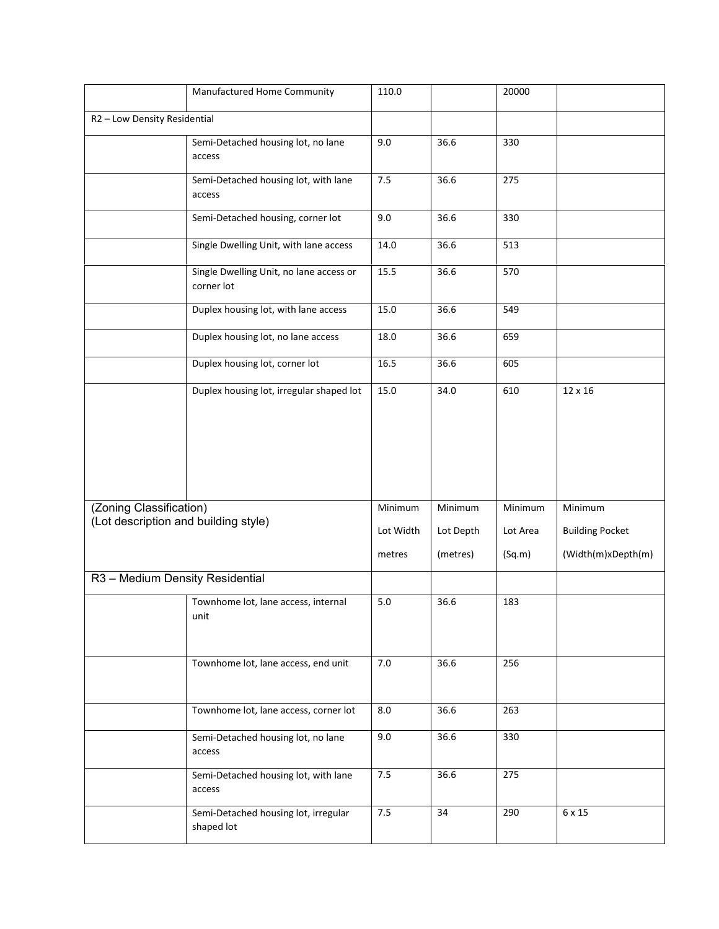|                                                                 | Manufactured Home Community                           | 110.0     |           | 20000    |                        |
|-----------------------------------------------------------------|-------------------------------------------------------|-----------|-----------|----------|------------------------|
| R2 - Low Density Residential                                    |                                                       |           |           |          |                        |
|                                                                 | Semi-Detached housing lot, no lane<br>access          | $9.0\,$   | 36.6      | 330      |                        |
|                                                                 | Semi-Detached housing lot, with lane<br>access        | 7.5       | 36.6      | 275      |                        |
|                                                                 | Semi-Detached housing, corner lot                     | 9.0       | 36.6      | 330      |                        |
|                                                                 | Single Dwelling Unit, with lane access                | 14.0      | 36.6      | 513      |                        |
|                                                                 | Single Dwelling Unit, no lane access or<br>corner lot | 15.5      | 36.6      | 570      |                        |
|                                                                 | Duplex housing lot, with lane access                  | 15.0      | 36.6      | 549      |                        |
|                                                                 | Duplex housing lot, no lane access                    | 18.0      | 36.6      | 659      |                        |
|                                                                 | Duplex housing lot, corner lot                        | 16.5      | 36.6      | 605      |                        |
|                                                                 | Duplex housing lot, irregular shaped lot              | 15.0      | 34.0      | 610      | 12 x 16                |
|                                                                 |                                                       |           |           |          |                        |
|                                                                 |                                                       |           |           |          |                        |
|                                                                 |                                                       |           |           |          |                        |
| (Zoning Classification)<br>(Lot description and building style) |                                                       | Minimum   | Minimum   | Minimum  | Minimum                |
|                                                                 |                                                       | Lot Width | Lot Depth | Lot Area | <b>Building Pocket</b> |
|                                                                 |                                                       | metres    | (metres)  | (Sq.m)   | (Width(m)xDepth(m)     |
| R3 - Medium Density Residential                                 |                                                       |           |           |          |                        |
|                                                                 | Townhome lot, lane access, internal<br>unit           | 5.0       | 36.6      | 183      |                        |
|                                                                 | Townhome lot, lane access, end unit                   | $7.0\,$   | 36.6      | 256      |                        |
|                                                                 | Townhome lot, lane access, corner lot                 | 8.0       | 36.6      | 263      |                        |
|                                                                 | Semi-Detached housing lot, no lane<br>access          | 9.0       | 36.6      | 330      |                        |
|                                                                 | Semi-Detached housing lot, with lane<br>access        | 7.5       | 36.6      | 275      |                        |
|                                                                 | Semi-Detached housing lot, irregular<br>shaped lot    | 7.5       | 34        | 290      | 6 x 15                 |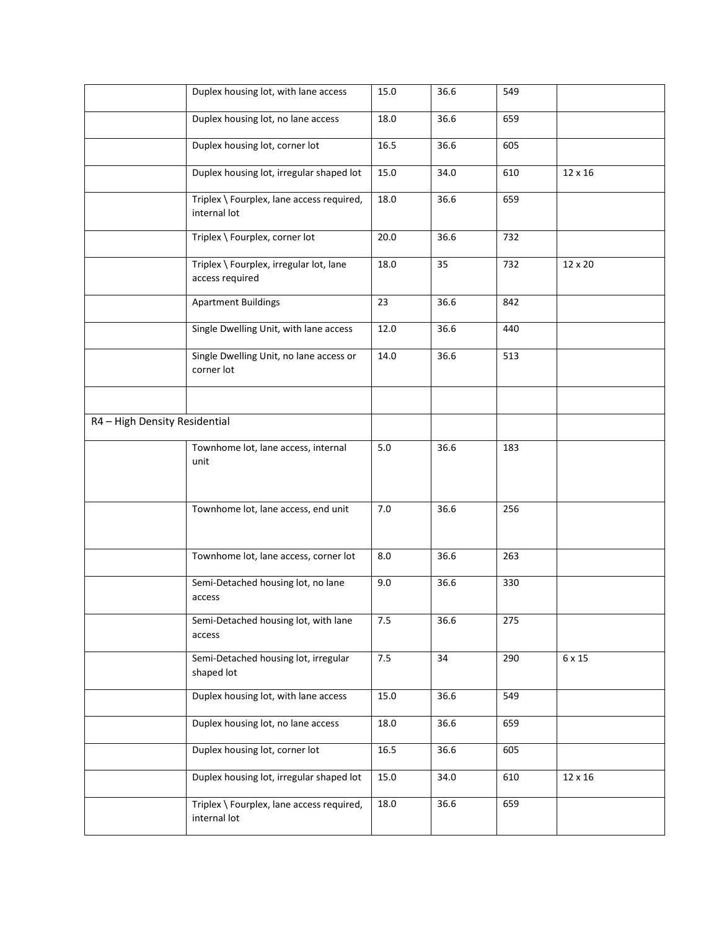|                               | Duplex housing lot, with lane access                       | 15.0 | 36.6 | 549 |         |
|-------------------------------|------------------------------------------------------------|------|------|-----|---------|
|                               | Duplex housing lot, no lane access                         | 18.0 | 36.6 | 659 |         |
|                               | Duplex housing lot, corner lot                             | 16.5 | 36.6 | 605 |         |
|                               | Duplex housing lot, irregular shaped lot                   | 15.0 | 34.0 | 610 | 12 x 16 |
|                               | Triplex \ Fourplex, lane access required,<br>internal lot  | 18.0 | 36.6 | 659 |         |
|                               | Triplex \ Fourplex, corner lot                             | 20.0 | 36.6 | 732 |         |
|                               | Triplex \ Fourplex, irregular lot, lane<br>access required | 18.0 | 35   | 732 | 12 x 20 |
|                               | <b>Apartment Buildings</b>                                 | 23   | 36.6 | 842 |         |
|                               | Single Dwelling Unit, with lane access                     | 12.0 | 36.6 | 440 |         |
|                               | Single Dwelling Unit, no lane access or<br>corner lot      | 14.0 | 36.6 | 513 |         |
|                               |                                                            |      |      |     |         |
| R4 - High Density Residential |                                                            |      |      |     |         |
|                               | Townhome lot, lane access, internal<br>unit                | 5.0  | 36.6 | 183 |         |
|                               | Townhome lot, lane access, end unit                        | 7.0  | 36.6 | 256 |         |
|                               | Townhome lot, lane access, corner lot                      | 8.0  | 36.6 | 263 |         |
|                               | Semi-Detached housing lot, no lane<br>access               | 9.0  | 36.6 | 330 |         |
|                               | Semi-Detached housing lot, with lane<br>access             | 7.5  | 36.6 | 275 |         |
|                               | Semi-Detached housing lot, irregular<br>shaped lot         | 7.5  | 34   | 290 | 6 x 15  |
|                               | Duplex housing lot, with lane access                       | 15.0 | 36.6 | 549 |         |
|                               | Duplex housing lot, no lane access                         | 18.0 | 36.6 | 659 |         |
|                               | Duplex housing lot, corner lot                             | 16.5 | 36.6 | 605 |         |
|                               | Duplex housing lot, irregular shaped lot                   | 15.0 | 34.0 | 610 | 12 x 16 |
|                               | Triplex \ Fourplex, lane access required,<br>internal lot  | 18.0 | 36.6 | 659 |         |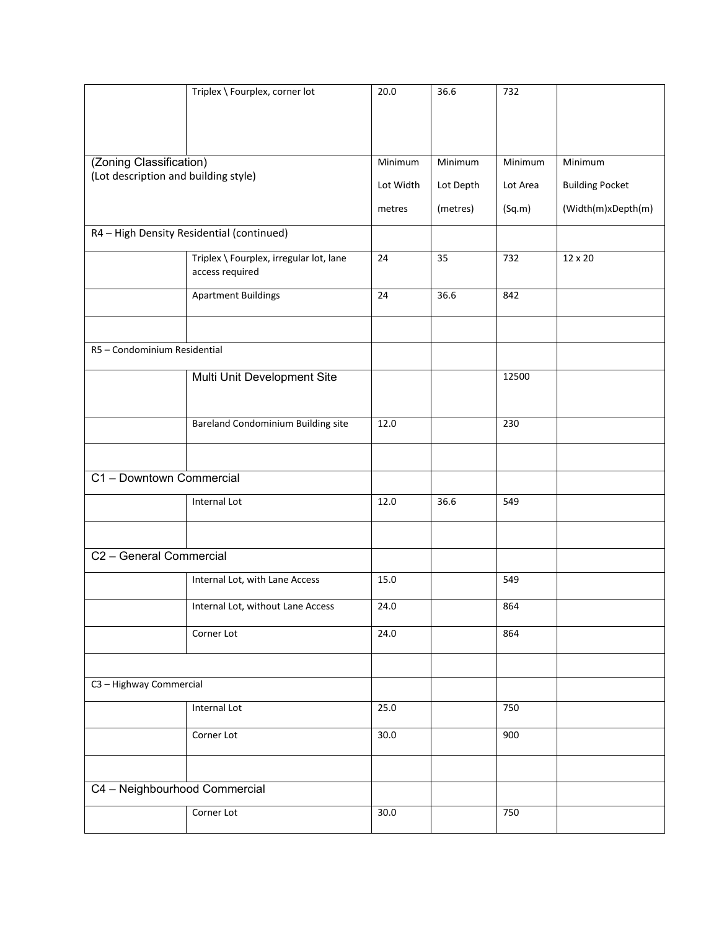|                                      | Triplex \ Fourplex, corner lot            | 20.0      | 36.6      | 732      |                        |
|--------------------------------------|-------------------------------------------|-----------|-----------|----------|------------------------|
|                                      |                                           |           |           |          |                        |
|                                      |                                           |           |           |          |                        |
|                                      |                                           |           |           |          |                        |
| (Zoning Classification)              |                                           | Minimum   | Minimum   | Minimum  | Minimum                |
| (Lot description and building style) |                                           |           |           |          |                        |
|                                      |                                           | Lot Width | Lot Depth | Lot Area | <b>Building Pocket</b> |
|                                      |                                           | metres    | (metres)  | (Sq.m)   | (Width(m)xDepth(m)     |
|                                      | R4 - High Density Residential (continued) |           |           |          |                        |
|                                      | Triplex \ Fourplex, irregular lot, lane   | 24        | 35        | 732      | 12 x 20                |
|                                      | access required                           |           |           |          |                        |
|                                      | <b>Apartment Buildings</b>                | 24        | 36.6      | 842      |                        |
|                                      |                                           |           |           |          |                        |
|                                      |                                           |           |           |          |                        |
| R5 - Condominium Residential         |                                           |           |           |          |                        |
|                                      | Multi Unit Development Site               |           |           | 12500    |                        |
|                                      |                                           |           |           |          |                        |
|                                      |                                           |           |           |          |                        |
|                                      | Bareland Condominium Building site        | 12.0      |           | 230      |                        |
|                                      |                                           |           |           |          |                        |
|                                      |                                           |           |           |          |                        |
| C1 - Downtown Commercial             |                                           |           |           |          |                        |
|                                      | Internal Lot                              | 12.0      | 36.6      | 549      |                        |
|                                      |                                           |           |           |          |                        |
|                                      |                                           |           |           |          |                        |
| C2 - General Commercial              |                                           |           |           |          |                        |
|                                      | Internal Lot, with Lane Access            | 15.0      |           | 549      |                        |
|                                      | Internal Lot, without Lane Access         | 24.0      |           | 864      |                        |
|                                      |                                           |           |           |          |                        |
|                                      | Corner Lot                                | 24.0      |           | 864      |                        |
|                                      |                                           |           |           |          |                        |
| C3 - Highway Commercial              |                                           |           |           |          |                        |
|                                      | Internal Lot                              | 25.0      |           | 750      |                        |
|                                      | Corner Lot                                | 30.0      |           | 900      |                        |
|                                      |                                           |           |           |          |                        |
|                                      |                                           |           |           |          |                        |
| C4 - Neighbourhood Commercial        |                                           |           |           |          |                        |
|                                      | Corner Lot                                | 30.0      |           | 750      |                        |
|                                      |                                           |           |           |          |                        |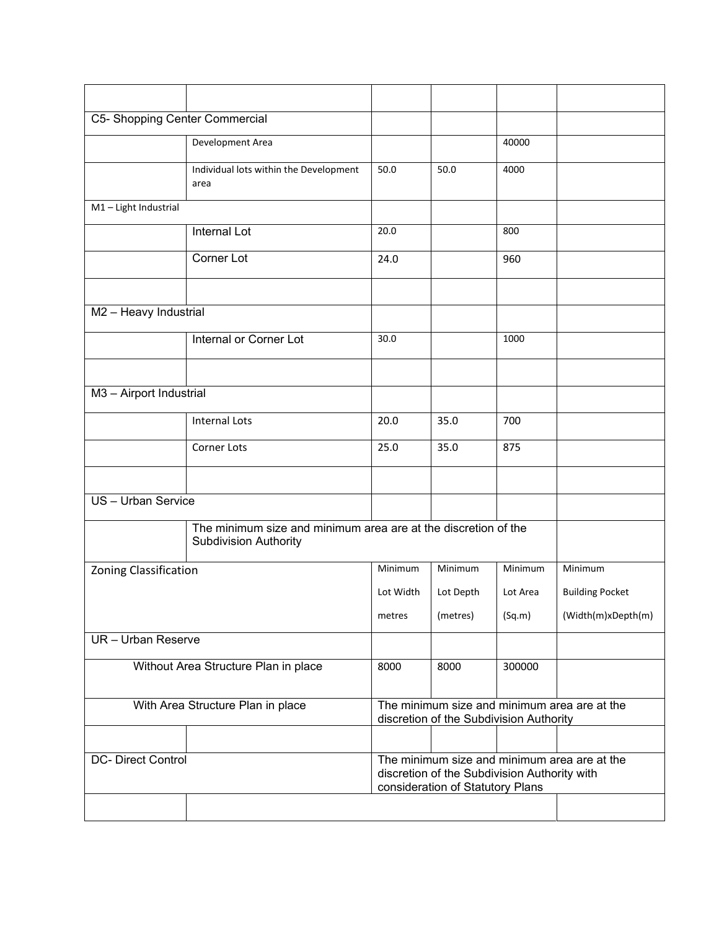| C5- Shopping Center Commercial       |                                                                                                |                                                                                                                                  |           |          |                        |
|--------------------------------------|------------------------------------------------------------------------------------------------|----------------------------------------------------------------------------------------------------------------------------------|-----------|----------|------------------------|
|                                      | Development Area                                                                               |                                                                                                                                  |           | 40000    |                        |
|                                      | Individual lots within the Development<br>area                                                 | 50.0                                                                                                                             | 50.0      | 4000     |                        |
| M1-Light Industrial                  |                                                                                                |                                                                                                                                  |           |          |                        |
|                                      | Internal Lot                                                                                   | 20.0                                                                                                                             |           | 800      |                        |
|                                      | <b>Corner Lot</b>                                                                              | 24.0                                                                                                                             |           | 960      |                        |
| M2 - Heavy Industrial                |                                                                                                |                                                                                                                                  |           |          |                        |
|                                      | Internal or Corner Lot                                                                         | 30.0                                                                                                                             |           | 1000     |                        |
|                                      |                                                                                                |                                                                                                                                  |           |          |                        |
|                                      |                                                                                                |                                                                                                                                  |           |          |                        |
| M3 - Airport Industrial              |                                                                                                |                                                                                                                                  |           |          |                        |
|                                      | <b>Internal Lots</b>                                                                           | 20.0                                                                                                                             | 35.0      | 700      |                        |
|                                      | Corner Lots                                                                                    | 25.0                                                                                                                             | 35.0      | 875      |                        |
|                                      |                                                                                                |                                                                                                                                  |           |          |                        |
| US - Urban Service                   |                                                                                                |                                                                                                                                  |           |          |                        |
|                                      | The minimum size and minimum area are at the discretion of the<br><b>Subdivision Authority</b> |                                                                                                                                  |           |          |                        |
| <b>Zoning Classification</b>         |                                                                                                | Minimum                                                                                                                          | Minimum   | Minimum  | Minimum                |
|                                      |                                                                                                | Lot Width                                                                                                                        | Lot Depth | Lot Area | <b>Building Pocket</b> |
|                                      |                                                                                                | metres                                                                                                                           | (metres)  | (Sq.m)   | (Width(m)xDepth(m)     |
| UR - Urban Reserve                   |                                                                                                |                                                                                                                                  |           |          |                        |
| Without Area Structure Plan in place |                                                                                                | 8000                                                                                                                             | 8000      | 300000   |                        |
| With Area Structure Plan in place    |                                                                                                | The minimum size and minimum area are at the<br>discretion of the Subdivision Authority                                          |           |          |                        |
|                                      |                                                                                                |                                                                                                                                  |           |          |                        |
| <b>DC- Direct Control</b>            |                                                                                                | The minimum size and minimum area are at the<br>discretion of the Subdivision Authority with<br>consideration of Statutory Plans |           |          |                        |
|                                      |                                                                                                |                                                                                                                                  |           |          |                        |